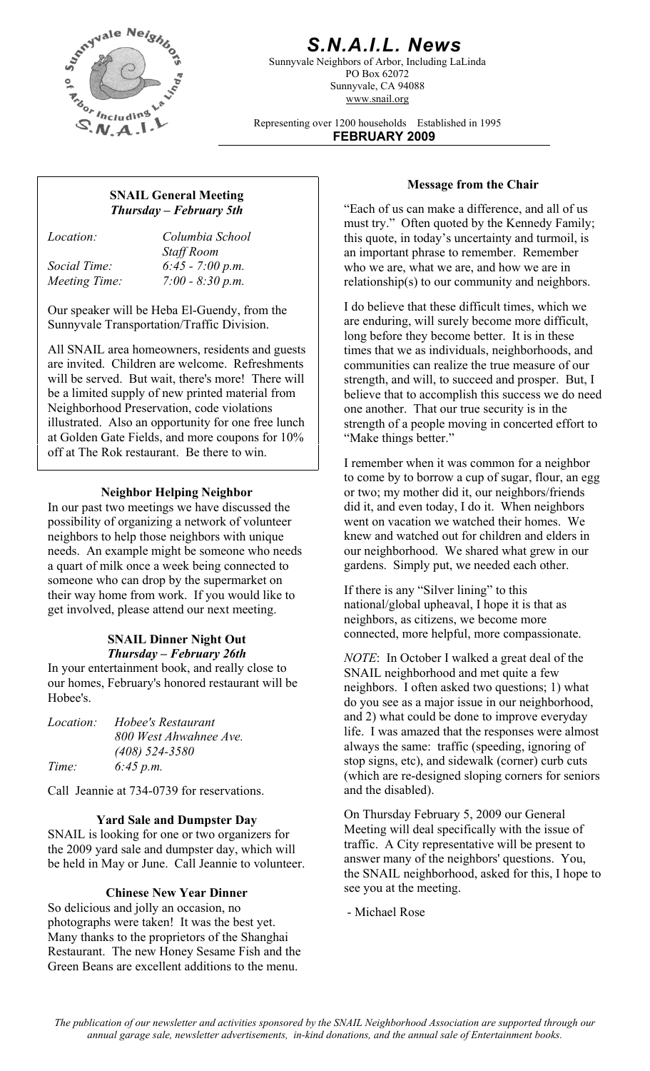

# *S.N.A.I.L. News*

Sunnyvale Neighbors of Arbor, Including LaLinda PO Box 62072 Sunnyvale, CA 94088 www.snail.org

Representing over 1200 households Established in 1995 **FEBRUARY 2009**

## **Message from the Chair SNAIL General Meeting**  *Thursday – February 5th*

*Location: Columbia School Staff Room Social Time: 6:45 - 7:00 p.m. Meeting Time: 7:00 - 8:30 p.m.* 

Our speaker will be Heba El-Guendy, from the Sunnyvale Transportation/Traffic Division.

All SNAIL area homeowners, residents and guests are invited. Children are welcome. Refreshments will be served. But wait, there's more! There will be a limited supply of new printed material from Neighborhood Preservation, code violations illustrated. Also an opportunity for one free lunch at Golden Gate Fields, and more coupons for 10% off at The Rok restaurant. Be there to win.

### **Neighbor Helping Neighbor**

In our past two meetings we have discussed the possibility of organizing a network of volunteer neighbors to help those neighbors with unique needs. An example might be someone who needs a quart of milk once a week being connected to someone who can drop by the supermarket on their way home from work. If you would like to get involved, please attend our next meeting.

In your entertainment book, and really close to our homes, February's honored restaurant will be Hobee's.

| <i>Location:</i> | Hobee's Restaurant     |
|------------------|------------------------|
|                  | 800 West Ahwahnee Ave. |
|                  | $(408)$ 524-3580       |
| Time:            | 6:45 p.m.              |

Call Jeannie at 734-0739 for reservations.

### **Yard Sale and Dumpster Day**

SNAIL is looking for one or two organizers for the 2009 yard sale and dumpster day, which will be held in May or June. Call Jeannie to volunteer.

### **Chinese New Year Dinner**

So delicious and jolly an occasion, no photographs were taken! It was the best yet. Many thanks to the proprietors of the Shanghai Restaurant. The new Honey Sesame Fish and the Green Beans are excellent additions to the menu.

"Each of us can make a difference, and all of us must try." Often quoted by the Kennedy Family; this quote, in today's uncertainty and turmoil, is an important phrase to remember. Remember who we are, what we are, and how we are in relationship(s) to our community and neighbors.

I do believe that these difficult times, which we are enduring, will surely become more difficult, long before they become better. It is in these times that we as individuals, neighborhoods, and communities can realize the true measure of our strength, and will, to succeed and prosper. But, I believe that to accomplish this success we do need one another. That our true security is in the strength of a people moving in concerted effort to "Make things better."

I remember when it was common for a neighbor to come by to borrow a cup of sugar, flour, an egg or two; my mother did it, our neighbors/friends did it, and even today, I do it. When neighbors went on vacation we watched their homes. We knew and watched out for children and elders in our neighborhood. We shared what grew in our gardens. Simply put, we needed each other.

If there is any "Silver lining" to this national/global upheaval, I hope it is that as neighbors, as citizens, we become more connected, more helpful, more compassionate. **SNAIL Dinner Night Out** 

*Thursday – February 26th NOTE*: In October I walked a great deal of the SNAIL neighborhood and met quite a few neighbors. I often asked two questions; 1) what do you see as a major issue in our neighborhood, and 2) what could be done to improve everyday life. I was amazed that the responses were almost always the same: traffic (speeding, ignoring of stop signs, etc), and sidewalk (corner) curb cuts (which are re-designed sloping corners for seniors and the disabled).

> On Thursday February 5, 2009 our General Meeting will deal specifically with the issue of traffic. A City representative will be present to answer many of the neighbors' questions. You, the SNAIL neighborhood, asked for this, I hope to see you at the meeting.

- Michael Rose